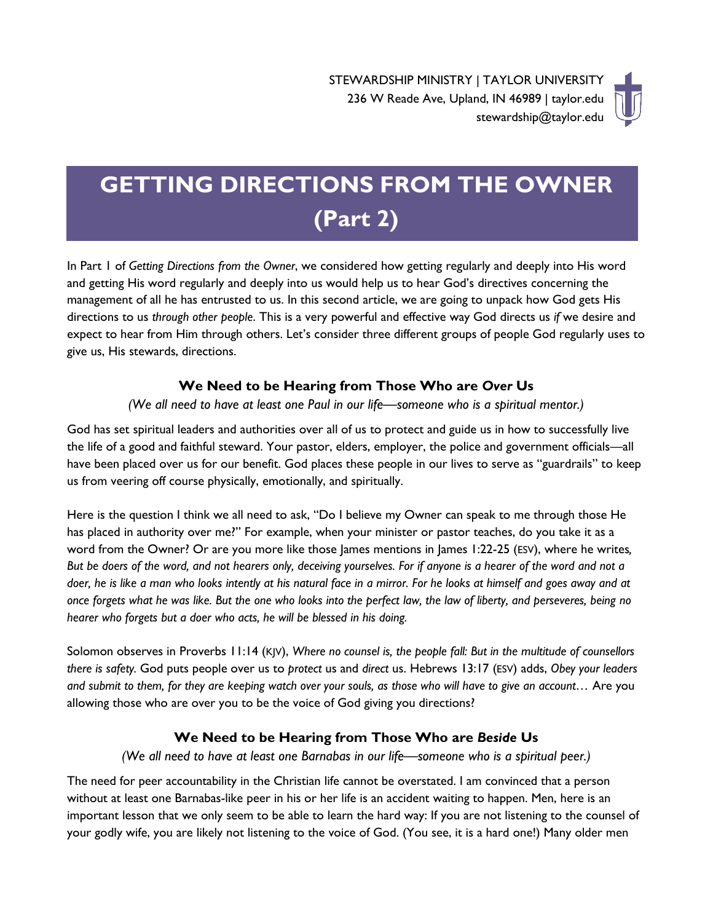# **GETTING DIRECTIONS FROM THE OWNER (Part 2)**

In Part 1 of *Getting Directions from the Owner*, we considered how getting regularly and deeply into His word and getting His word regularly and deeply into us would help us to hear God's directives concerning the management of all he has entrusted to us. In this second article, we are going to unpack how God gets His directions to us *through other people*. This is a very powerful and effective way God directs us *if* we desire and expect to hear from Him through others. Let's consider three different groups of people God regularly uses to give us, His stewards, directions.

## **We Need to be Hearing from Those Who are** *Over* **Us**

## *(We all need to have at least one Paul in our life—someone who is a spiritual mentor.)*

God has set spiritual leaders and authorities over all of us to protect and guide us in how to successfully live the life of a good and faithful steward. Your pastor, elders, employer, the police and government officials—all have been placed over us for our benefit. God places these people in our lives to serve as "guardrails" to keep us from veering off course physically, emotionally, and spiritually.

Here is the question I think we all need to ask, "Do I believe my Owner can speak to me through those He has placed in authority over me?" For example, when your minister or pastor teaches, do you take it as a word from the Owner? Or are you more like those James mentions in James 1:22-25 (ESV), where he writes, *But be doers of the word, and not hearers only, deceiving yourselves. For if anyone is a hearer of the word and not a doer, he is like a man who looks intently at his natural face in a mirror. For he looks at himself and goes away and at once forgets what he was like. But the one who looks into the perfect law, the law of liberty, and perseveres, being no hearer who forgets but a doer who acts, he will be blessed in his doing.*

Solomon observes in Proverbs 11:14 (KJV), *Where no counsel is, the people fall: But in the multitude of counsellors there is safety.* God puts people over us to *protect* us and *direct* us. Hebrews 13:17 (ESV) adds, *Obey your leaders and submit to them, for they are keeping watch over your souls, as those who will have to give an account…* Are you allowing those who are over you to be the voice of God giving you directions?

## **We Need to be Hearing from Those Who are** *Beside* **Us**

*(We all need to have at least one Barnabas in our life—someone who is a spiritual peer.)*

The need for peer accountability in the Christian life cannot be overstated. I am convinced that a person without at least one Barnabas-like peer in his or her life is an accident waiting to happen. Men, here is an important lesson that we only seem to be able to learn the hard way: If you are not listening to the counsel of your godly wife, you are likely not listening to the voice of God. (You see, it is a hard one!) Many older men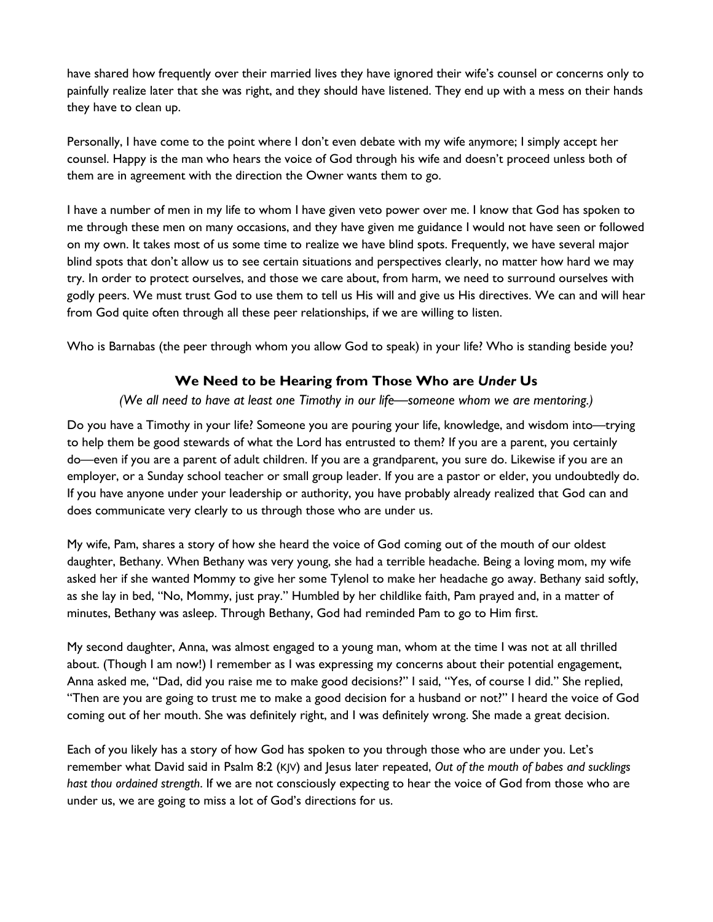have shared how frequently over their married lives they have ignored their wife's counsel or concerns only to painfully realize later that she was right, and they should have listened. They end up with a mess on their hands they have to clean up.

Personally, I have come to the point where I don't even debate with my wife anymore; I simply accept her counsel. Happy is the man who hears the voice of God through his wife and doesn't proceed unless both of them are in agreement with the direction the Owner wants them to go.

I have a number of men in my life to whom I have given veto power over me. I know that God has spoken to me through these men on many occasions, and they have given me guidance I would not have seen or followed on my own. It takes most of us some time to realize we have blind spots. Frequently, we have several major blind spots that don't allow us to see certain situations and perspectives clearly, no matter how hard we may try. In order to protect ourselves, and those we care about, from harm, we need to surround ourselves with godly peers. We must trust God to use them to tell us His will and give us His directives. We can and will hear from God quite often through all these peer relationships, if we are willing to listen.

Who is Barnabas (the peer through whom you allow God to speak) in your life? Who is standing beside you?

## **We Need to be Hearing from Those Who are** *Under* **Us**

## *(We all need to have at least one Timothy in our life—someone whom we are mentoring.)*

Do you have a Timothy in your life? Someone you are pouring your life, knowledge, and wisdom into—trying to help them be good stewards of what the Lord has entrusted to them? If you are a parent, you certainly do—even if you are a parent of adult children. If you are a grandparent, you sure do. Likewise if you are an employer, or a Sunday school teacher or small group leader. If you are a pastor or elder, you undoubtedly do. If you have anyone under your leadership or authority, you have probably already realized that God can and does communicate very clearly to us through those who are under us.

My wife, Pam, shares a story of how she heard the voice of God coming out of the mouth of our oldest daughter, Bethany. When Bethany was very young, she had a terrible headache. Being a loving mom, my wife asked her if she wanted Mommy to give her some Tylenol to make her headache go away. Bethany said softly, as she lay in bed, "No, Mommy, just pray." Humbled by her childlike faith, Pam prayed and, in a matter of minutes, Bethany was asleep. Through Bethany, God had reminded Pam to go to Him first.

My second daughter, Anna, was almost engaged to a young man, whom at the time I was not at all thrilled about. (Though I am now!) I remember as I was expressing my concerns about their potential engagement, Anna asked me, "Dad, did you raise me to make good decisions?" I said, "Yes, of course I did." She replied, "Then are you are going to trust me to make a good decision for a husband or not?" I heard the voice of God coming out of her mouth. She was definitely right, and I was definitely wrong. She made a great decision.

Each of you likely has a story of how God has spoken to you through those who are under you. Let's remember what David said in Psalm 8:2 (KJV) and Jesus later repeated, *Out of the mouth of babes and sucklings hast thou ordained strength*. If we are not consciously expecting to hear the voice of God from those who are under us, we are going to miss a lot of God's directions for us.